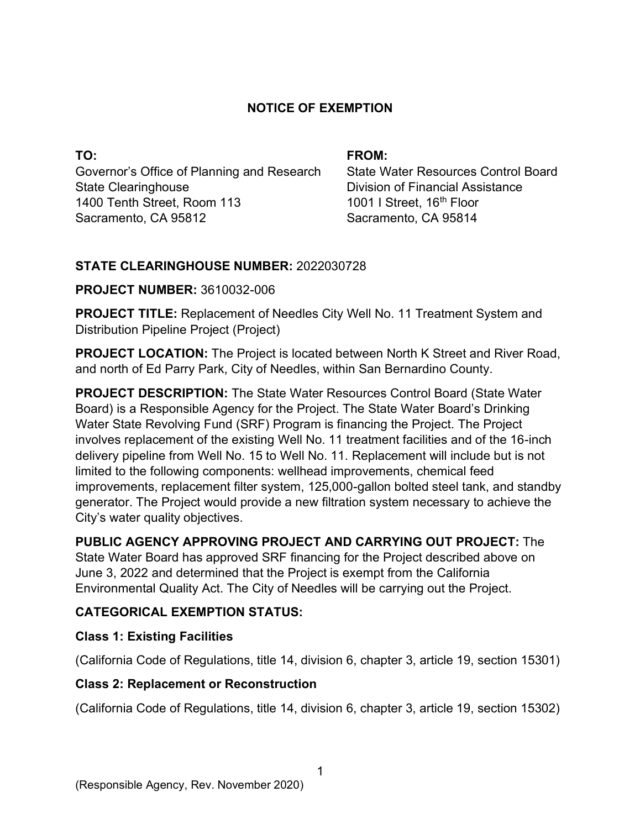### **NOTICE OF EXEMPTION**

**TO:**  Governor's Office of Planning and Research State Clearinghouse 1400 Tenth Street, Room 113 Sacramento, CA 95812

#### **FROM:**

State Water Resources Control Board Division of Financial Assistance 1001 I Street, 16<sup>th</sup> Floor Sacramento, CA 95814

### **STATE CLEARINGHOUSE NUMBER:** 2022030728

### **PROJECT NUMBER:** 3610032-006

**PROJECT TITLE:** Replacement of Needles City Well No. 11 Treatment System and Distribution Pipeline Project (Project)

**PROJECT LOCATION:** The Project is located between North K Street and River Road, and north of Ed Parry Park, City of Needles, within San Bernardino County.

**PROJECT DESCRIPTION:** The State Water Resources Control Board (State Water Board) is a Responsible Agency for the Project. The State Water Board's Drinking Water State Revolving Fund (SRF) Program is financing the Project. The Project involves replacement of the existing Well No. 11 treatment facilities and of the 16-inch delivery pipeline from Well No. 15 to Well No. 11. Replacement will include but is not limited to the following components: wellhead improvements, chemical feed improvements, replacement filter system, 125,000-gallon bolted steel tank, and standby generator. The Project would provide a new filtration system necessary to achieve the City's water quality objectives.

**PUBLIC AGENCY APPROVING PROJECT AND CARRYING OUT PROJECT:** The State Water Board has approved SRF financing for the Project described above on June 3, 2022 and determined that the Project is exempt from the California Environmental Quality Act. The City of Needles will be carrying out the Project.

# **CATEGORICAL EXEMPTION STATUS:**

# **Class 1: Existing Facilities**

(California Code of Regulations, title 14, division 6, chapter 3, article 19, section 15301)

# **Class 2: Replacement or Reconstruction**

(California Code of Regulations, title 14, division 6, chapter 3, article 19, section 15302)